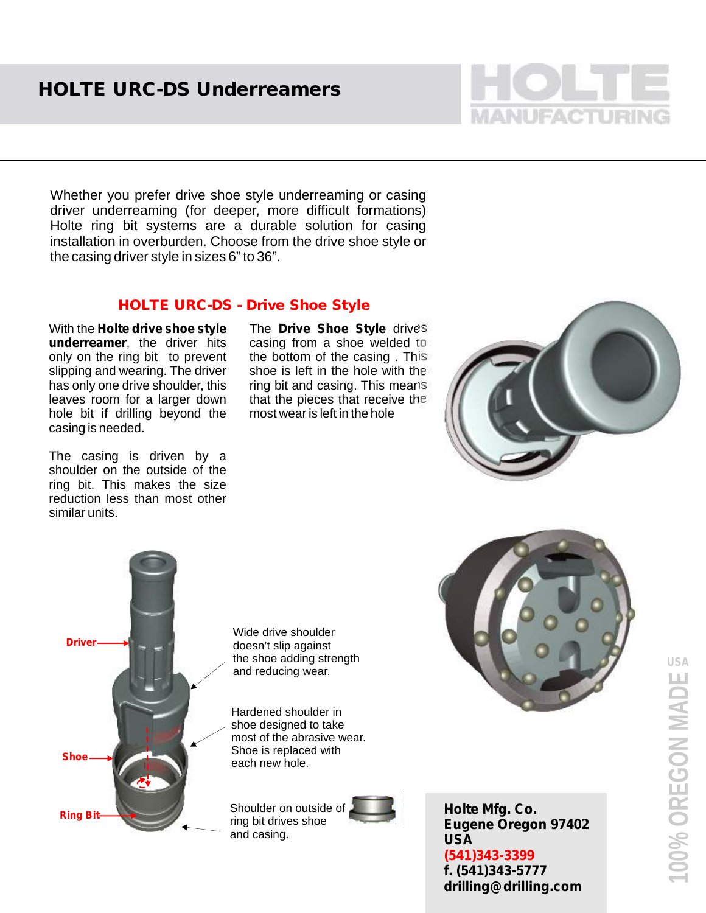

Whether you prefer drive shoe style underreaming or casing driver underreaming (for deeper, more difficult formations) Holte ring bit systems are a durable solution for casing installation in overburden. Choose from the drive shoe style or the casing driver style in sizes 6" to 36".

## **HOLTE URC-DS - Drive Shoe Style**

With the **Holte drive shoe style underreamer**, the driver hits only on the ring bit to prevent slipping and wearing. The driver has only one drive shoulder, this leaves room for a larger down hole bit if drilling beyond the casing is needed.

The casing is driven by a shoulder on the outside of the ring bit. This makes the size reduction less than most other similar units.

The **Drive Shoe Style** drives casing from a shoe welded to the bottom of the casing . This shoe is left in the hole with the ring bit and casing. This means that the pieces that receive the most wear is left in the hole





Wide drive shoulder doesn't slip against the shoe adding strength and reducing wear.

Hardened shoulder in shoe designed to take most of the abrasive wear. Shoe is replaced with each new hole.







**Holte Mfg. Co. Eugene Oregon 97402 USA f. (541)343-5777 drilling@drilling.com (541)343-3399**